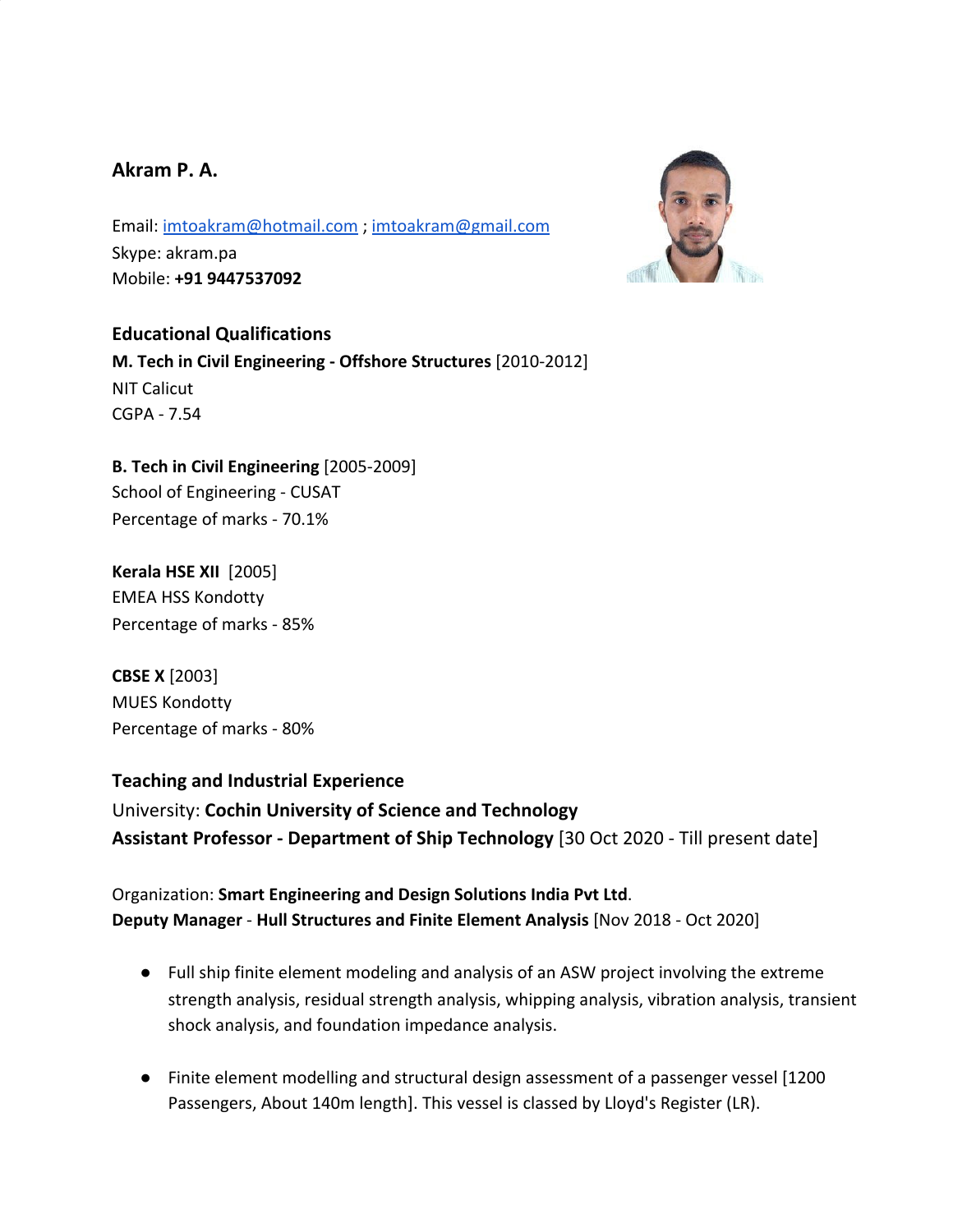# **Akram P. A.**

Email: [imtoakram@hotmail.com](mailto:imtoakram@hotmail.com) ; [imtoakram@gmail.com](mailto:imtoakram@gmail.com) Skype: akram.pa Mobile: **+91 9447537092**



**Educational Qualifications M. Tech in Civil Engineering - Offshore Structures** [2010-2012] NIT Calicut CGPA - 7.54

**B. Tech in Civil Engineering** [2005-2009] School of Engineering - CUSAT Percentage of marks - 70.1%

**Kerala HSE XII** [2005] EMEA HSS Kondotty Percentage of marks - 85%

**CBSE X** [2003] MUES Kondotty Percentage of marks - 80%

## **Teaching and Industrial Experience**

University: **Cochin University of Science and Technology Assistant Professor - Department of Ship Technology** [30 Oct 2020 - Till present date]

Organization: **Smart Engineering and Design Solutions India Pvt Ltd**. **Deputy Manager** - **Hull Structures and Finite Element Analysis** [Nov 2018 - Oct 2020]

- Full ship finite element modeling and analysis of an ASW project involving the extreme strength analysis, residual strength analysis, whipping analysis, vibration analysis, transient shock analysis, and foundation impedance analysis.
- Finite element modelling and structural design assessment of a passenger vessel [1200 Passengers, About 140m length]. This vessel is classed by Lloyd's Register (LR).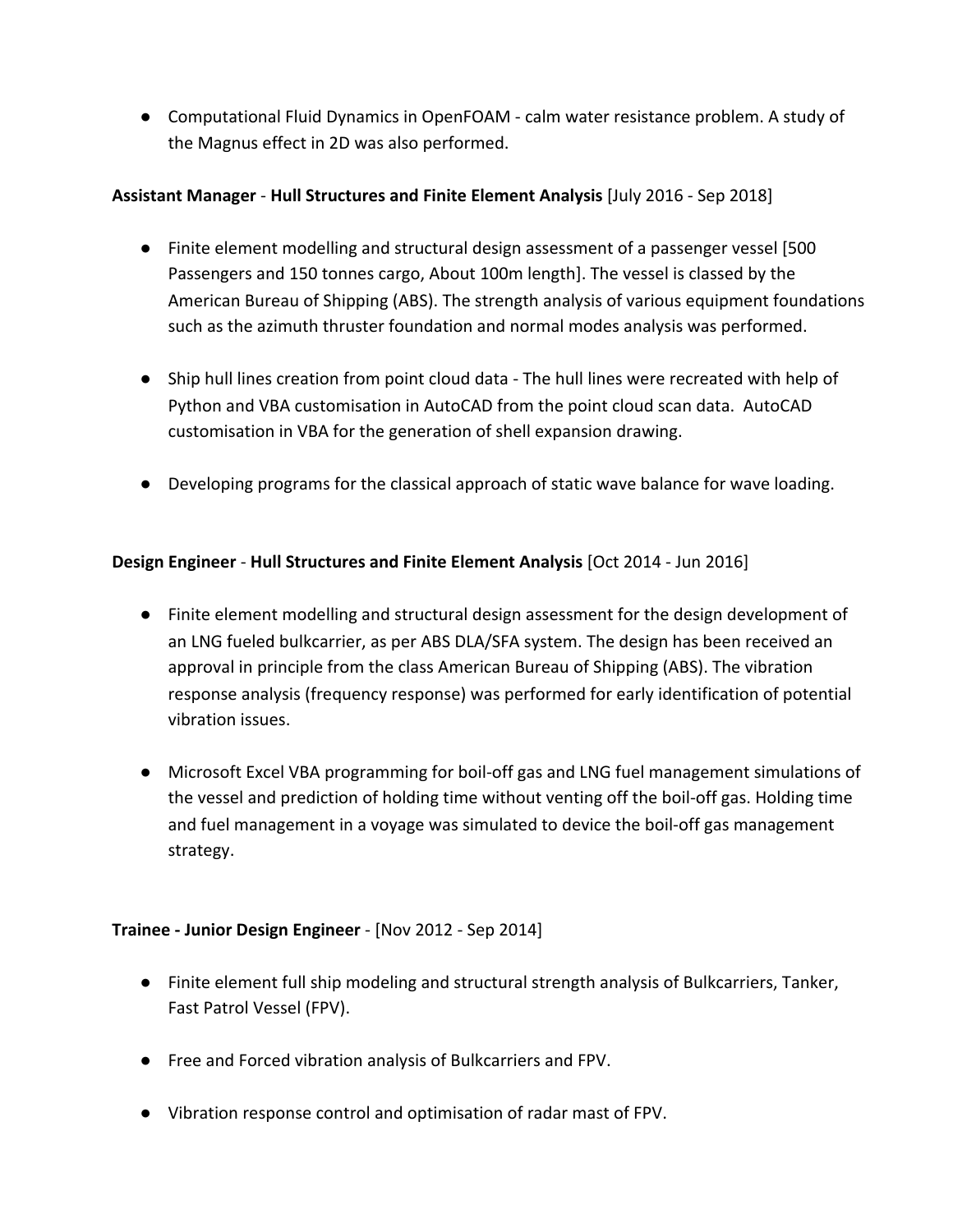● Computational Fluid Dynamics in OpenFOAM - calm water resistance problem. A study of the Magnus effect in 2D was also performed.

## **Assistant Manager** - **Hull Structures and Finite Element Analysis** [July 2016 - Sep 2018]

- Finite element modelling and structural design assessment of a passenger vessel [500 Passengers and 150 tonnes cargo, About 100m length]. The vessel is classed by the American Bureau of Shipping (ABS). The strength analysis of various equipment foundations such as the azimuth thruster foundation and normal modes analysis was performed.
- Ship hull lines creation from point cloud data The hull lines were recreated with help of Python and VBA customisation in AutoCAD from the point cloud scan data. AutoCAD customisation in VBA for the generation of shell expansion drawing.
- Developing programs for the classical approach of static wave balance for wave loading.

## **Design Engineer** - **Hull Structures and Finite Element Analysis** [Oct 2014 - Jun 2016]

- Finite element modelling and structural design assessment for the design development of an LNG fueled bulkcarrier, as per ABS DLA/SFA system. The design has been received an approval in principle from the class American Bureau of Shipping (ABS). The vibration response analysis (frequency response) was performed for early identification of potential vibration issues.
- Microsoft Excel VBA programming for boil-off gas and LNG fuel management simulations of the vessel and prediction of holding time without venting off the boil-off gas. Holding time and fuel management in a voyage was simulated to device the boil-off gas management strategy.

## **Trainee - Junior Design Engineer** - [Nov 2012 - Sep 2014]

- Finite element full ship modeling and structural strength analysis of Bulkcarriers, Tanker, Fast Patrol Vessel (FPV).
- Free and Forced vibration analysis of Bulkcarriers and FPV.
- Vibration response control and optimisation of radar mast of FPV.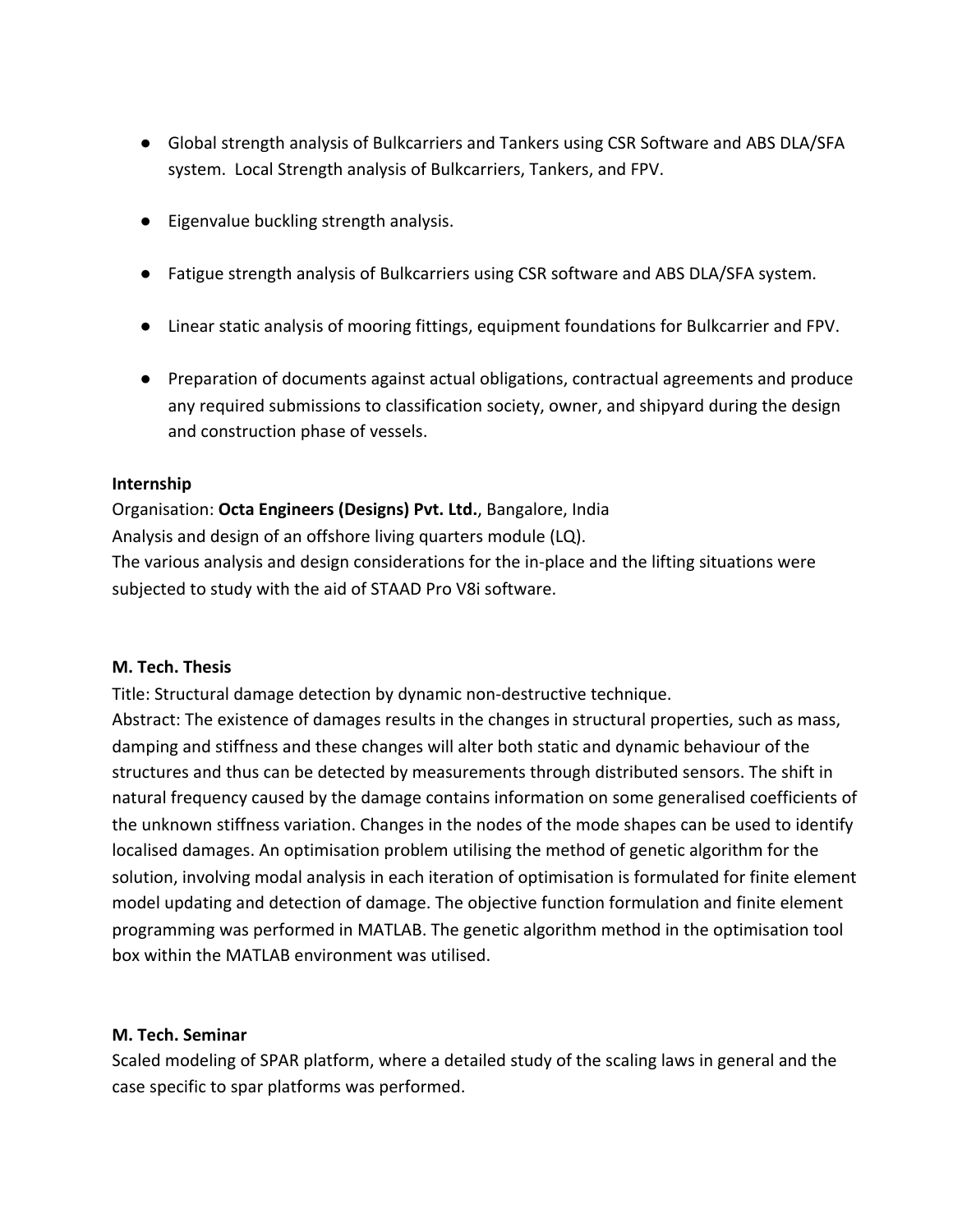- Global strength analysis of Bulkcarriers and Tankers using CSR Software and ABS DLA/SFA system. Local Strength analysis of Bulkcarriers, Tankers, and FPV.
- Eigenvalue buckling strength analysis.
- Fatigue strength analysis of Bulkcarriers using CSR software and ABS DLA/SFA system.
- Linear static analysis of mooring fittings, equipment foundations for Bulkcarrier and FPV.
- Preparation of documents against actual obligations, contractual agreements and produce any required submissions to classification society, owner, and shipyard during the design and construction phase of vessels.

### **Internship**

Organisation: **Octa Engineers (Designs) Pvt. Ltd.**, Bangalore, India Analysis and design of an offshore living quarters module (LQ). The various analysis and design considerations for the in-place and the lifting situations were subjected to study with the aid of STAAD Pro V8i software.

### **M. Tech. Thesis**

Title: Structural damage detection by dynamic non-destructive technique. Abstract: The existence of damages results in the changes in structural properties, such as mass, damping and stiffness and these changes will alter both static and dynamic behaviour of the structures and thus can be detected by measurements through distributed sensors. The shift in natural frequency caused by the damage contains information on some generalised coefficients of the unknown stiffness variation. Changes in the nodes of the mode shapes can be used to identify localised damages. An optimisation problem utilising the method of genetic algorithm for the solution, involving modal analysis in each iteration of optimisation is formulated for finite element model updating and detection of damage. The objective function formulation and finite element programming was performed in MATLAB. The genetic algorithm method in the optimisation tool box within the MATLAB environment was utilised.

## **M. Tech. Seminar**

Scaled modeling of SPAR platform, where a detailed study of the scaling laws in general and the case specific to spar platforms was performed.